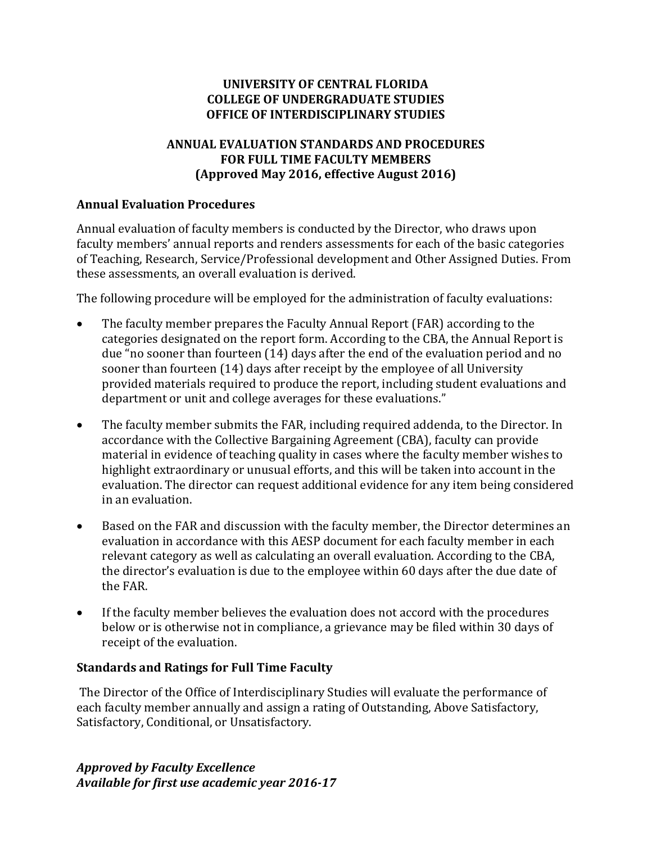#### **UNIVERSITY OF CENTRAL FLORIDA COLLEGE OF UNDERGRADUATE STUDIES OFFICE OF INTERDISCIPLINARY STUDIES**

### **ANNUAL EVALUATION STANDARDS AND PROCEDURES FOR FULL TIME FACULTY MEMBERS (Approved May 2016, effective August 2016)**

#### **Annual Evaluation Procedures**

Annual evaluation of faculty members is conducted by the Director, who draws upon faculty members' annual reports and renders assessments for each of the basic categories of Teaching, Research, Service/Professional development and Other Assigned Duties. From these assessments, an overall evaluation is derived.

The following procedure will be employed for the administration of faculty evaluations:

- The faculty member prepares the Faculty Annual Report (FAR) according to the categories designated on the report form. According to the CBA, the Annual Report is due "no sooner than fourteen (14) days after the end of the evaluation period and no sooner than fourteen (14) days after receipt by the employee of all University provided materials required to produce the report, including student evaluations and department or unit and college averages for these evaluations."
- The faculty member submits the FAR, including required addenda, to the Director. In accordance with the Collective Bargaining Agreement (CBA), faculty can provide material in evidence of teaching quality in cases where the faculty member wishes to highlight extraordinary or unusual efforts, and this will be taken into account in the evaluation. The director can request additional evidence for any item being considered in an evaluation.
- Based on the FAR and discussion with the faculty member, the Director determines an evaluation in accordance with this AESP document for each faculty member in each relevant category as well as calculating an overall evaluation. According to the CBA, the director's evaluation is due to the employee within 60 days after the due date of the FAR.
- If the faculty member believes the evaluation does not accord with the procedures below or is otherwise not in compliance, a grievance may be filed within 30 days of receipt of the evaluation.

#### **Standards and Ratings for Full Time Faculty**

The Director of the Office of Interdisciplinary Studies will evaluate the performance of each faculty member annually and assign a rating of Outstanding, Above Satisfactory, Satisfactory, Conditional, or Unsatisfactory.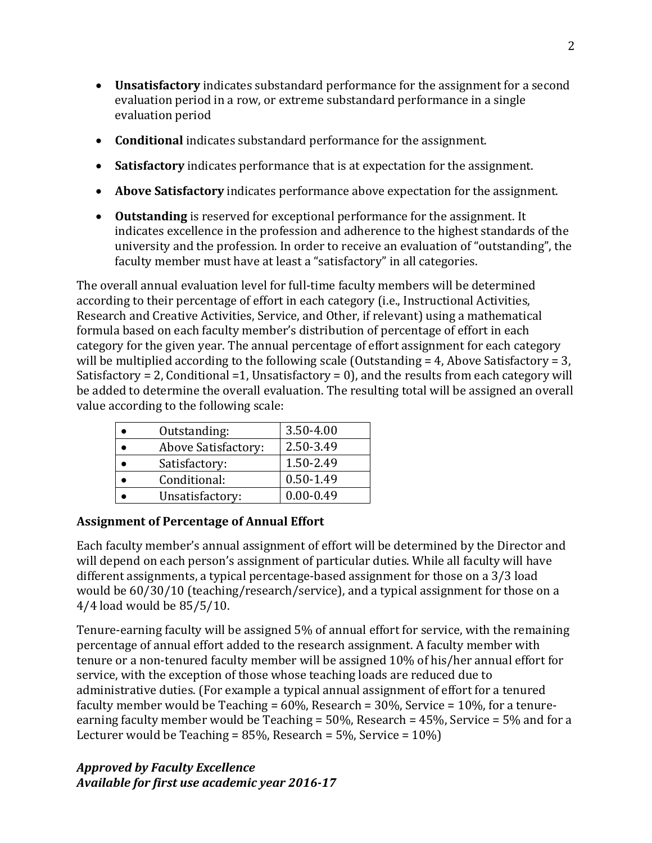- **Unsatisfactory** indicates substandard performance for the assignment for a second evaluation period in a row, or extreme substandard performance in a single evaluation period
- **Conditional** indicates substandard performance for the assignment.
- **Satisfactory** indicates performance that is at expectation for the assignment.
- **Above Satisfactory** indicates performance above expectation for the assignment.
- **Outstanding** is reserved for exceptional performance for the assignment. It indicates excellence in the profession and adherence to the highest standards of the university and the profession. In order to receive an evaluation of "outstanding", the faculty member must have at least a "satisfactory" in all categories.

The overall annual evaluation level for full-time faculty members will be determined according to their percentage of effort in each category (i.e., Instructional Activities, Research and Creative Activities, Service, and Other, if relevant) using a mathematical formula based on each faculty member's distribution of percentage of effort in each category for the given year. The annual percentage of effort assignment for each category will be multiplied according to the following scale (Outstanding = 4, Above Satisfactory = 3, Satisfactory = 2, Conditional =1, Unsatisfactory = 0), and the results from each category will be added to determine the overall evaluation. The resulting total will be assigned an overall value according to the following scale:

| Outstanding:        | 3.50-4.00     |
|---------------------|---------------|
| Above Satisfactory: | 2.50-3.49     |
| Satisfactory:       | 1.50-2.49     |
| Conditional:        | 0.50-1.49     |
| Unsatisfactory:     | $0.00 - 0.49$ |

# **Assignment of Percentage of Annual Effort**

Each faculty member's annual assignment of effort will be determined by the Director and will depend on each person's assignment of particular duties. While all faculty will have different assignments, a typical percentage-based assignment for those on a 3/3 load would be 60/30/10 (teaching/research/service), and a typical assignment for those on a 4/4 load would be 85/5/10.

Tenure-earning faculty will be assigned 5% of annual effort for service, with the remaining percentage of annual effort added to the research assignment. A faculty member with tenure or a non-tenured faculty member will be assigned 10% of his/her annual effort for service, with the exception of those whose teaching loads are reduced due to administrative duties. (For example a typical annual assignment of effort for a tenured faculty member would be Teaching =  $60\%$ , Research =  $30\%$ , Service =  $10\%$ , for a tenureearning faculty member would be Teaching = 50%, Research = 45%, Service = 5% and for a Lecturer would be Teaching =  $85\%$ , Research =  $5\%$ , Service =  $10\%$ )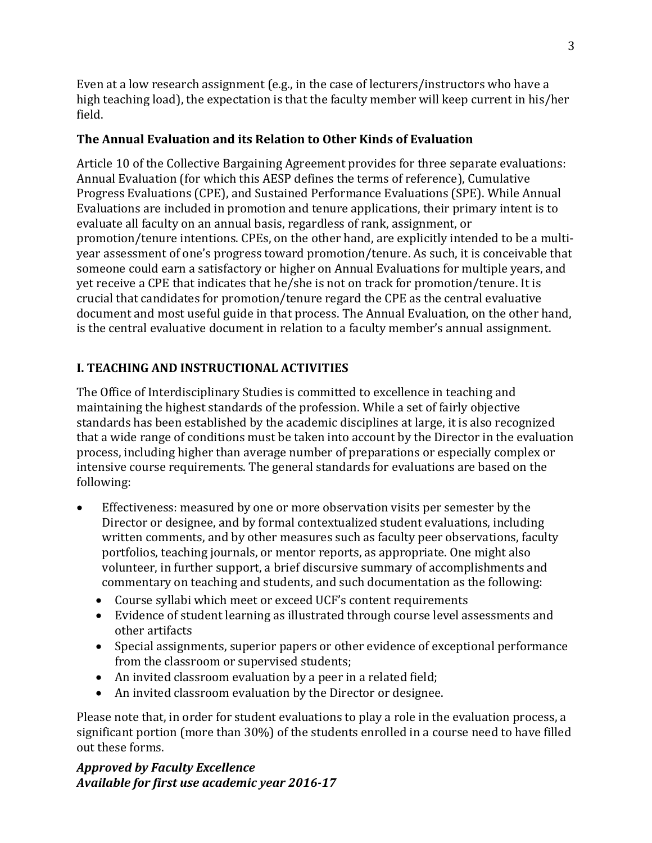Even at a low research assignment (e.g., in the case of lecturers/instructors who have a high teaching load), the expectation is that the faculty member will keep current in his/her field.

#### **The Annual Evaluation and its Relation to Other Kinds of Evaluation**

Article 10 of the Collective Bargaining Agreement provides for three separate evaluations: Annual Evaluation (for which this AESP defines the terms of reference), Cumulative Progress Evaluations (CPE), and Sustained Performance Evaluations (SPE). While Annual Evaluations are included in promotion and tenure applications, their primary intent is to evaluate all faculty on an annual basis, regardless of rank, assignment, or promotion/tenure intentions. CPEs, on the other hand, are explicitly intended to be a multiyear assessment of one's progress toward promotion/tenure. As such, it is conceivable that someone could earn a satisfactory or higher on Annual Evaluations for multiple years, and yet receive a CPE that indicates that he/she is not on track for promotion/tenure. It is crucial that candidates for promotion/tenure regard the CPE as the central evaluative document and most useful guide in that process. The Annual Evaluation, on the other hand, is the central evaluative document in relation to a faculty member's annual assignment.

#### **I. TEACHING AND INSTRUCTIONAL ACTIVITIES**

The Office of Interdisciplinary Studies is committed to excellence in teaching and maintaining the highest standards of the profession. While a set of fairly objective standards has been established by the academic disciplines at large, it is also recognized that a wide range of conditions must be taken into account by the Director in the evaluation process, including higher than average number of preparations or especially complex or intensive course requirements. The general standards for evaluations are based on the following:

- Effectiveness: measured by one or more observation visits per semester by the Director or designee, and by formal contextualized student evaluations, including written comments, and by other measures such as faculty peer observations, faculty portfolios, teaching journals, or mentor reports, as appropriate. One might also volunteer, in further support, a brief discursive summary of accomplishments and commentary on teaching and students, and such documentation as the following:
	- Course syllabi which meet or exceed UCF's content requirements
	- Evidence of student learning as illustrated through course level assessments and other artifacts
	- Special assignments, superior papers or other evidence of exceptional performance from the classroom or supervised students;
	- An invited classroom evaluation by a peer in a related field;
	- An invited classroom evaluation by the Director or designee.

Please note that, in order for student evaluations to play a role in the evaluation process, a significant portion (more than 30%) of the students enrolled in a course need to have filled out these forms.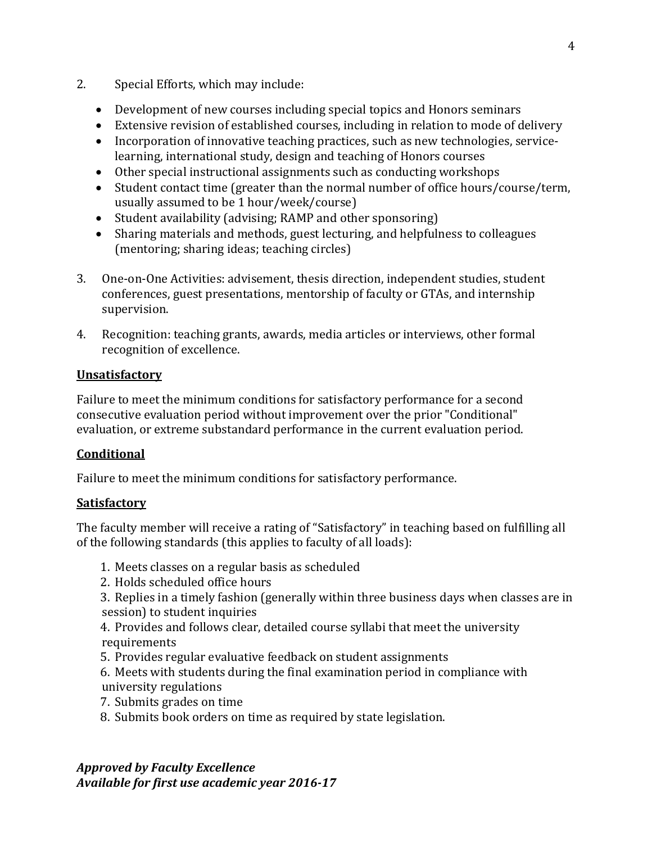- 2. Special Efforts, which may include:
	- Development of new courses including special topics and Honors seminars
	- Extensive revision of established courses, including in relation to mode of delivery
	- Incorporation of innovative teaching practices, such as new technologies, servicelearning, international study, design and teaching of Honors courses
	- Other special instructional assignments such as conducting workshops
	- Student contact time (greater than the normal number of office hours/course/term, usually assumed to be 1 hour/week/course)
	- Student availability (advising; RAMP and other sponsoring)
	- Sharing materials and methods, guest lecturing, and helpfulness to colleagues (mentoring; sharing ideas; teaching circles)
- 3. One-on-One Activities: advisement, thesis direction, independent studies, student conferences, guest presentations, mentorship of faculty or GTAs, and internship supervision.
- 4. Recognition: teaching grants, awards, media articles or interviews, other formal recognition of excellence.

### **Unsatisfactory**

Failure to meet the minimum conditions for satisfactory performance for a second consecutive evaluation period without improvement over the prior "Conditional" evaluation, or extreme substandard performance in the current evaluation period.

# **Conditional**

Failure to meet the minimum conditions for satisfactory performance.

# **Satisfactory**

The faculty member will receive a rating of "Satisfactory" in teaching based on fulfilling all of the following standards (this applies to faculty of all loads):

- 1. Meets classes on a regular basis as scheduled
- 2. Holds scheduled office hours
- 3. Replies in a timely fashion (generally within three business days when classes are in session) to student inquiries
- 4. Provides and follows clear, detailed course syllabi that meet the university requirements
- 5. Provides regular evaluative feedback on student assignments
- 6. Meets with students during the final examination period in compliance with university regulations
- 7. Submits grades on time
- 8. Submits book orders on time as required by state legislation.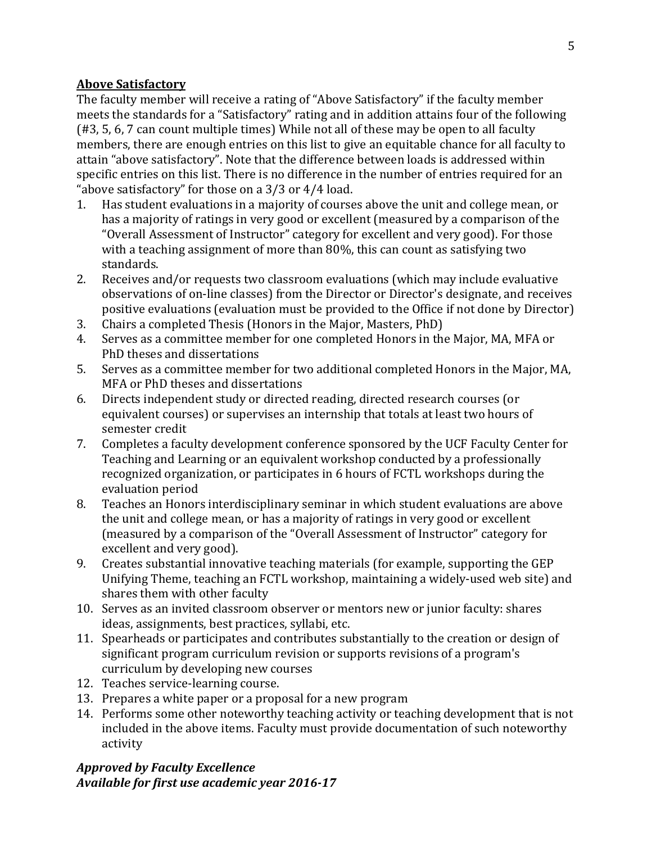#### **Above Satisfactory**

The faculty member will receive a rating of "Above Satisfactory" if the faculty member meets the standards for a "Satisfactory" rating and in addition attains four of the following (#3, 5, 6, 7 can count multiple times) While not all of these may be open to all faculty members, there are enough entries on this list to give an equitable chance for all faculty to attain "above satisfactory". Note that the difference between loads is addressed within specific entries on this list. There is no difference in the number of entries required for an "above satisfactory" for those on a  $3/3$  or  $4/4$  load.<br>1. Has student evaluations in a maiority of course

- Has student evaluations in a majority of courses above the unit and college mean, or has a majority of ratings in very good or excellent (measured by a comparison of the "Overall Assessment of Instructor" category for excellent and very good). For those with a teaching assignment of more than 80%, this can count as satisfying two standards.
- 2. Receives and/or requests two classroom evaluations (which may include evaluative observations of on-line classes) from the Director or Director's designate, and receives positive evaluations (evaluation must be provided to the Office if not done by Director)
- 3. Chairs a completed Thesis (Honors in the Major, Masters, PhD)
- 4. Serves as a committee member for one completed Honors in the Major, MA, MFA or PhD theses and dissertations
- 5. Serves as a committee member for two additional completed Honors in the Major, MA, MFA or PhD theses and dissertations
- 6. Directs independent study or directed reading, directed research courses (or equivalent courses) or supervises an internship that totals at least two hours of semester credit
- 7. Completes a faculty development conference sponsored by the UCF Faculty Center for Teaching and Learning or an equivalent workshop conducted by a professionally recognized organization, or participates in 6 hours of FCTL workshops during the evaluation period
- 8. Teaches an Honors interdisciplinary seminar in which student evaluations are above the unit and college mean, or has a majority of ratings in very good or excellent (measured by a comparison of the "Overall Assessment of Instructor" category for excellent and very good).
- 9. Creates substantial innovative teaching materials (for example, supporting the GEP Unifying Theme, teaching an FCTL workshop, maintaining a widely-used web site) and shares them with other faculty
- 10. Serves as an invited classroom observer or mentors new or junior faculty: shares ideas, assignments, best practices, syllabi, etc.
- 11. Spearheads or participates and contributes substantially to the creation or design of significant program curriculum revision or supports revisions of a program's curriculum by developing new courses
- 12. Teaches service-learning course.
- 13. Prepares a white paper or a proposal for a new program
- 14. Performs some other noteworthy teaching activity or teaching development that is not included in the above items. Faculty must provide documentation of such noteworthy activity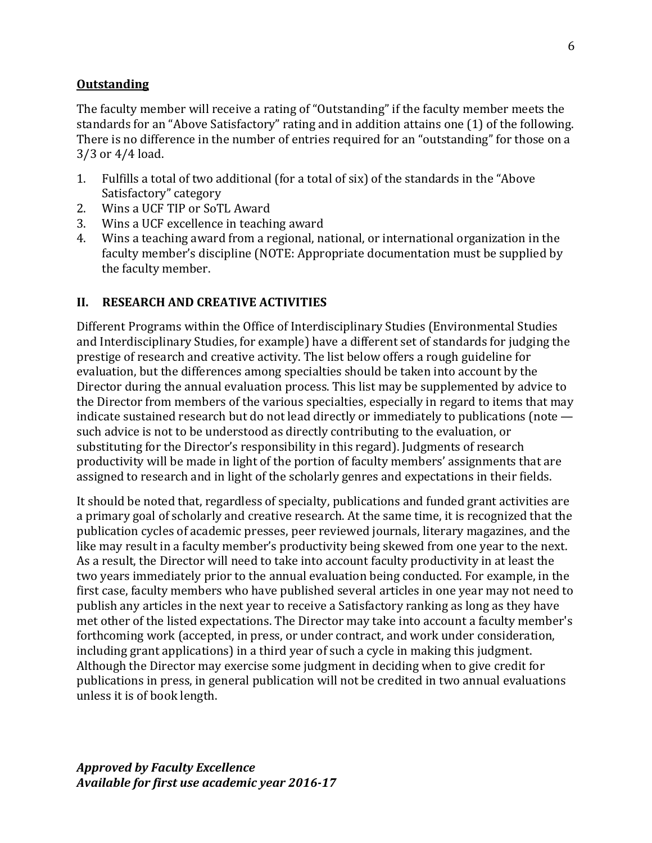#### **Outstanding**

The faculty member will receive a rating of "Outstanding" if the faculty member meets the standards for an "Above Satisfactory" rating and in addition attains one (1) of the following. There is no difference in the number of entries required for an "outstanding" for those on a 3/3 or 4/4 load.

- 1. Fulfills a total of two additional (for a total of six) of the standards in the "Above Satisfactory" category
- 2. Wins a UCF TIP or SoTL Award<br>3. Wins a UCF excellence in teachi
- 3. Wins a UCF excellence in teaching award<br>4. Wins a teaching award from a regional. no
- Wins a teaching award from a regional, national, or international organization in the faculty member's discipline (NOTE: Appropriate documentation must be supplied by the faculty member.

#### **II. RESEARCH AND CREATIVE ACTIVITIES**

Different Programs within the Office of Interdisciplinary Studies (Environmental Studies and Interdisciplinary Studies, for example) have a different set of standards for judging the prestige of research and creative activity. The list below offers a rough guideline for evaluation, but the differences among specialties should be taken into account by the Director during the annual evaluation process. This list may be supplemented by advice to the Director from members of the various specialties, especially in regard to items that may indicate sustained research but do not lead directly or immediately to publications (note such advice is not to be understood as directly contributing to the evaluation, or substituting for the Director's responsibility in this regard). Judgments of research productivity will be made in light of the portion of faculty members' assignments that are assigned to research and in light of the scholarly genres and expectations in their fields.

It should be noted that, regardless of specialty, publications and funded grant activities are a primary goal of scholarly and creative research. At the same time, it is recognized that the publication cycles of academic presses, peer reviewed journals, literary magazines, and the like may result in a faculty member's productivity being skewed from one year to the next. As a result, the Director will need to take into account faculty productivity in at least the two years immediately prior to the annual evaluation being conducted. For example, in the first case, faculty members who have published several articles in one year may not need to publish any articles in the next year to receive a Satisfactory ranking as long as they have met other of the listed expectations. The Director may take into account a faculty member's forthcoming work (accepted, in press, or under contract, and work under consideration, including grant applications) in a third year of such a cycle in making this judgment. Although the Director may exercise some judgment in deciding when to give credit for publications in press, in general publication will not be credited in two annual evaluations unless it is of book length.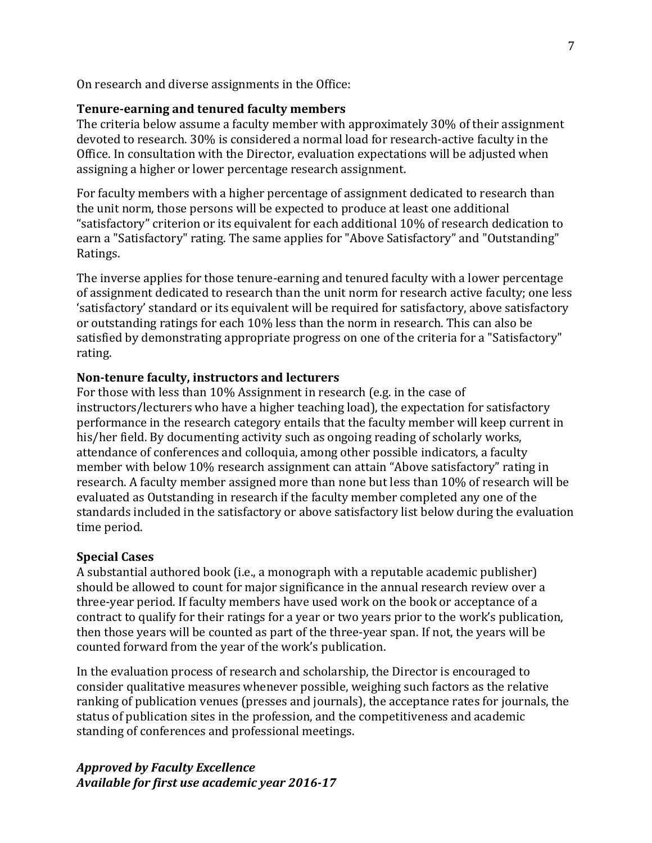On research and diverse assignments in the Office:

#### **Tenure-earning and tenured faculty members**

The criteria below assume a faculty member with approximately 30% of their assignment devoted to research. 30% is considered a normal load for research-active faculty in the Office. In consultation with the Director, evaluation expectations will be adjusted when assigning a higher or lower percentage research assignment.

For faculty members with a higher percentage of assignment dedicated to research than the unit norm, those persons will be expected to produce at least one additional "satisfactory" criterion or its equivalent for each additional 10% of research dedication to earn a "Satisfactory" rating. The same applies for "Above Satisfactory" and "Outstanding" Ratings.

The inverse applies for those tenure-earning and tenured faculty with a lower percentage of assignment dedicated to research than the unit norm for research active faculty; one less 'satisfactory' standard or its equivalent will be required for satisfactory, above satisfactory or outstanding ratings for each 10% less than the norm in research. This can also be satisfied by demonstrating appropriate progress on one of the criteria for a "Satisfactory" rating.

#### **Non-tenure faculty, instructors and lecturers**

For those with less than 10% Assignment in research (e.g. in the case of instructors/lecturers who have a higher teaching load), the expectation for satisfactory performance in the research category entails that the faculty member will keep current in his/her field. By documenting activity such as ongoing reading of scholarly works, attendance of conferences and colloquia, among other possible indicators, a faculty member with below 10% research assignment can attain "Above satisfactory" rating in research. A faculty member assigned more than none but less than 10% of research will be evaluated as Outstanding in research if the faculty member completed any one of the standards included in the satisfactory or above satisfactory list below during the evaluation time period.

#### **Special Cases**

A substantial authored book (i.e., a monograph with a reputable academic publisher) should be allowed to count for major significance in the annual research review over a three-year period. If faculty members have used work on the book or acceptance of a contract to qualify for their ratings for a year or two years prior to the work's publication, then those years will be counted as part of the three-year span. If not, the years will be counted forward from the year of the work's publication.

In the evaluation process of research and scholarship, the Director is encouraged to consider qualitative measures whenever possible, weighing such factors as the relative ranking of publication venues (presses and journals), the acceptance rates for journals, the status of publication sites in the profession, and the competitiveness and academic standing of conferences and professional meetings.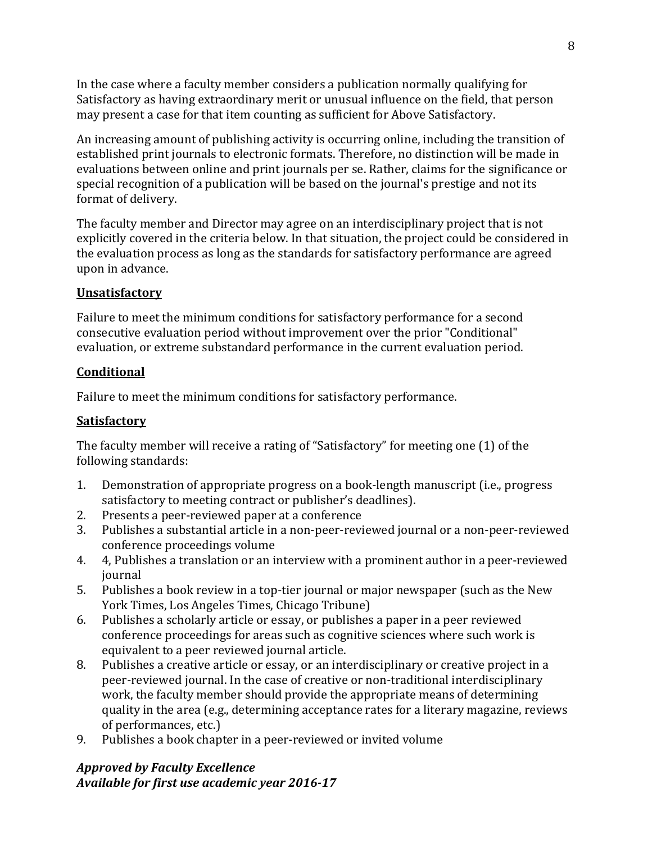In the case where a faculty member considers a publication normally qualifying for Satisfactory as having extraordinary merit or unusual influence on the field, that person may present a case for that item counting as sufficient for Above Satisfactory.

An increasing amount of publishing activity is occurring online, including the transition of established print journals to electronic formats. Therefore, no distinction will be made in evaluations between online and print journals per se. Rather, claims for the significance or special recognition of a publication will be based on the journal's prestige and not its format of delivery.

The faculty member and Director may agree on an interdisciplinary project that is not explicitly covered in the criteria below. In that situation, the project could be considered in the evaluation process as long as the standards for satisfactory performance are agreed upon in advance.

### **Unsatisfactory**

Failure to meet the minimum conditions for satisfactory performance for a second consecutive evaluation period without improvement over the prior "Conditional" evaluation, or extreme substandard performance in the current evaluation period.

#### **Conditional**

Failure to meet the minimum conditions for satisfactory performance.

#### **Satisfactory**

The faculty member will receive a rating of "Satisfactory" for meeting one (1) of the following standards:

- 1. Demonstration of appropriate progress on a book-length manuscript (i.e., progress satisfactory to meeting contract or publisher's deadlines).
- 2. Presents a peer-reviewed paper at a conference<br>3. Publishes a substantial article in a non-peer-revi
- 3. Publishes a substantial article in a non-peer-reviewed journal or a non-peer-reviewed conference proceedings volume
- 4. 4, Publishes a translation or an interview with a prominent author in a peer-reviewed journal
- 5. Publishes a book review in a top-tier journal or major newspaper (such as the New York Times, Los Angeles Times, Chicago Tribune)
- 6. Publishes a scholarly article or essay, or publishes a paper in a peer reviewed conference proceedings for areas such as cognitive sciences where such work is equivalent to a peer reviewed journal article.
- 8. Publishes a creative article or essay, or an interdisciplinary or creative project in a peer-reviewed journal. In the case of creative or non-traditional interdisciplinary work, the faculty member should provide the appropriate means of determining quality in the area (e.g., determining acceptance rates for a literary magazine, reviews of performances, etc.)
- 9. Publishes a book chapter in a peer-reviewed or invited volume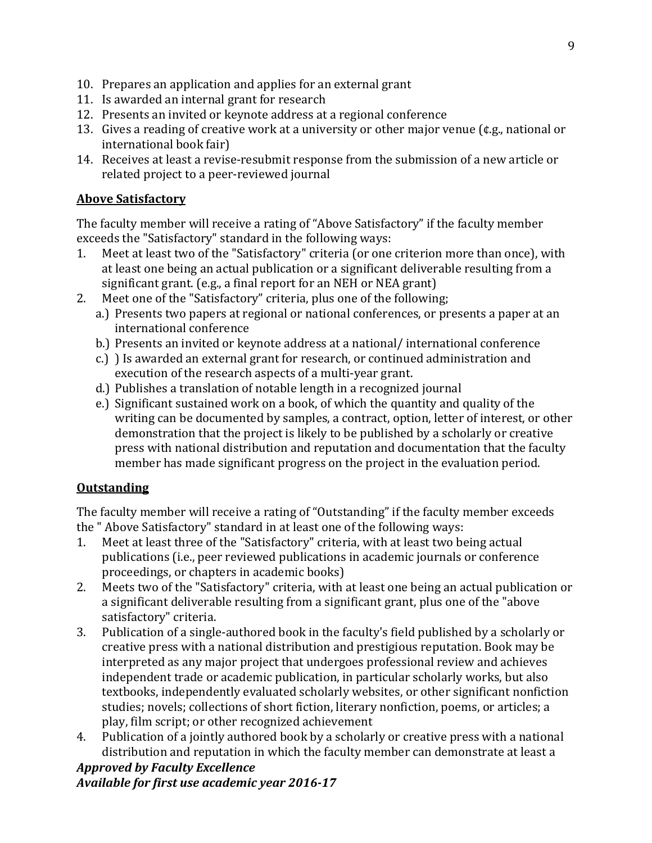- 10. Prepares an application and applies for an external grant
- 11. Is awarded an internal grant for research
- 12. Presents an invited or keynote address at a regional conference
- 13. Gives a reading of creative work at a university or other major venue (¢.g., national or international book fair)
- 14. Receives at least a revise-resubmit response from the submission of a new article or related project to a peer-reviewed journal

#### **Above Satisfactory**

The faculty member will receive a rating of "Above Satisfactory" if the faculty member exceeds the "Satisfactory" standard in the following ways:<br>1. Meet at least two of the "Satisfactory" criteria (or one

- Meet at least two of the "Satisfactory" criteria (or one criterion more than once), with at least one being an actual publication or a significant deliverable resulting from a significant grant. (e.g., a final report for an NEH or NEA grant)
- 2. Meet one of the "Satisfactory" criteria, plus one of the following;
	- a.) Presents two papers at regional or national conferences, or presents a paper at an international conference
	- b.) Presents an invited or keynote address at a national/ international conference
	- c.) ) Is awarded an external grant for research, or continued administration and execution of the research aspects of a multi-year grant.
	- d.) Publishes a translation of notable length in a recognized journal
	- e.) Significant sustained work on a book, of which the quantity and quality of the writing can be documented by samples, a contract, option, letter of interest, or other demonstration that the project is likely to be published by a scholarly or creative press with national distribution and reputation and documentation that the faculty member has made significant progress on the project in the evaluation period.

### **Outstanding**

The faculty member will receive a rating of "Outstanding" if the faculty member exceeds the "Above Satisfactory" standard in at least one of the following ways:<br>1. Meet at least three of the "Satisfactory" criteria, with at least two be

- Meet at least three of the "Satisfactory" criteria, with at least two being actual publications (i.e., peer reviewed publications in academic journals or conference proceedings, or chapters in academic books)
- 2. Meets two of the "Satisfactory" criteria, with at least one being an actual publication or a significant deliverable resulting from a significant grant, plus one of the "above satisfactory" criteria.
- 3. Publication of a single-authored book in the faculty's field published by a scholarly or creative press with a national distribution and prestigious reputation. Book may be interpreted as any major project that undergoes professional review and achieves independent trade or academic publication, in particular scholarly works, but also textbooks, independently evaluated scholarly websites, or other significant nonfiction studies; novels; collections of short fiction, literary nonfiction, poems, or articles; a play, film script; or other recognized achievement
- 4. Publication of a jointly authored book by a scholarly or creative press with a national distribution and reputation in which the faculty member can demonstrate at least a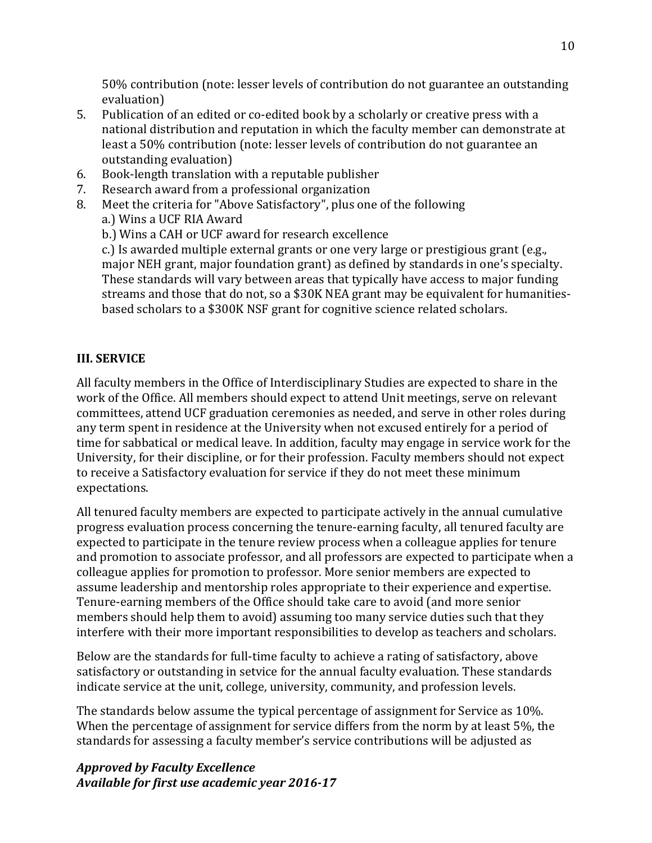50% contribution (note: lesser levels of contribution do not guarantee an outstanding evaluation)

- 5. Publication of an edited or co-edited book by a scholarly or creative press with a national distribution and reputation in which the faculty member can demonstrate at least a 50% contribution (note: lesser levels of contribution do not guarantee an outstanding evaluation)
- 6. Book-length translation with a reputable publisher
- 7. Research award from a professional organization
- Meet the criteria for "Above Satisfactory", plus one of the following a.) Wins a UCF RIA Award
	- b.) Wins a CAH or UCF award for research excellence

c.) Is awarded multiple external grants or one very large or prestigious grant (e.g., major NEH grant, major foundation grant) as defined by standards in one's specialty. These standards will vary between areas that typically have access to major funding streams and those that do not, so a \$30K NEA grant may be equivalent for humanitiesbased scholars to a \$300K NSF grant for cognitive science related scholars.

# **III. SERVICE**

All faculty members in the Office of Interdisciplinary Studies are expected to share in the work of the Office. All members should expect to attend Unit meetings, serve on relevant committees, attend UCF graduation ceremonies as needed, and serve in other roles during any term spent in residence at the University when not excused entirely for a period of time for sabbatical or medical leave. In addition, faculty may engage in service work for the University, for their discipline, or for their profession. Faculty members should not expect to receive a Satisfactory evaluation for service if they do not meet these minimum expectations.

All tenured faculty members are expected to participate actively in the annual cumulative progress evaluation process concerning the tenure-earning faculty, all tenured faculty are expected to participate in the tenure review process when a colleague applies for tenure and promotion to associate professor, and all professors are expected to participate when a colleague applies for promotion to professor. More senior members are expected to assume leadership and mentorship roles appropriate to their experience and expertise. Tenure-earning members of the Office should take care to avoid (and more senior members should help them to avoid) assuming too many service duties such that they interfere with their more important responsibilities to develop as teachers and scholars.

Below are the standards for full-time faculty to achieve a rating of satisfactory, above satisfactory or outstanding in setvice for the annual faculty evaluation. These standards indicate service at the unit, college, university, community, and profession levels.

The standards below assume the typical percentage of assignment for Service as 10%. When the percentage of assignment for service differs from the norm by at least 5%, the standards for assessing a faculty member's service contributions will be adjusted as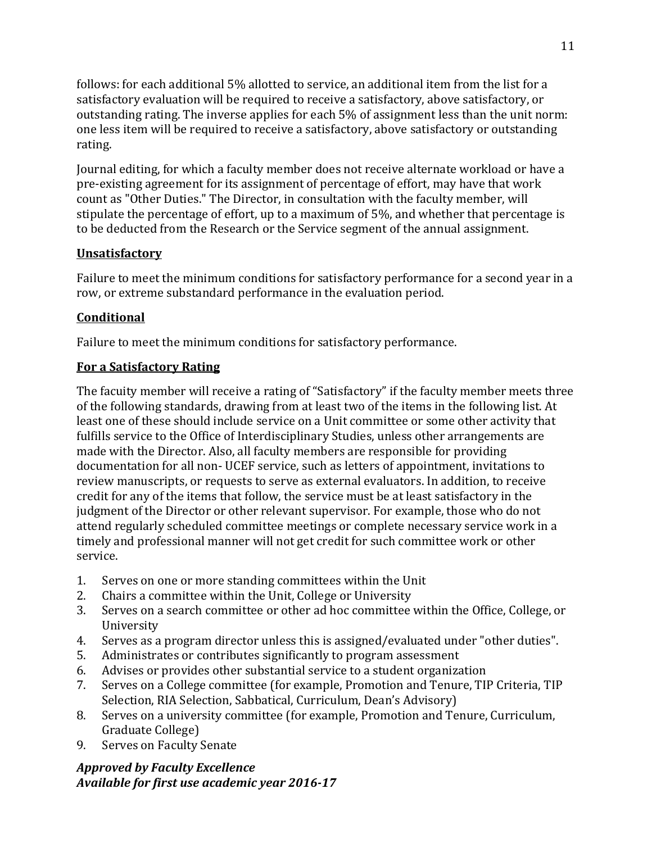follows: for each additional 5% allotted to service, an additional item from the list for a satisfactory evaluation will be required to receive a satisfactory, above satisfactory, or outstanding rating. The inverse applies for each 5% of assignment less than the unit norm: one less item will be required to receive a satisfactory, above satisfactory or outstanding rating.

Journal editing, for which a faculty member does not receive alternate workload or have a pre-existing agreement for its assignment of percentage of effort, may have that work count as "Other Duties." The Director, in consultation with the faculty member, will stipulate the percentage of effort, up to a maximum of 5%, and whether that percentage is to be deducted from the Research or the Service segment of the annual assignment.

#### **Unsatisfactory**

Failure to meet the minimum conditions for satisfactory performance for a second year in a row, or extreme substandard performance in the evaluation period.

#### **Conditional**

Failure to meet the minimum conditions for satisfactory performance.

#### **For a Satisfactory Rating**

The facuity member will receive a rating of "Satisfactory" if the faculty member meets three of the following standards, drawing from at least two of the items in the following list. At least one of these should include service on a Unit committee or some other activity that fulfills service to the Office of Interdisciplinary Studies, unless other arrangements are made with the Director. Also, all faculty members are responsible for providing documentation for all non- UCEF service, such as letters of appointment, invitations to review manuscripts, or requests to serve as external evaluators. In addition, to receive credit for any of the items that follow, the service must be at least satisfactory in the judgment of the Director or other relevant supervisor. For example, those who do not attend regularly scheduled committee meetings or complete necessary service work in a timely and professional manner will not get credit for such committee work or other service.

- 1. Serves on one or more standing committees within the Unit 2. Chairs a committee within the Unit. College or University
- 2. Chairs a committee within the Unit, College or University<br>3. Serves on a search committee or other ad hoc committee
- Serves on a search committee or other ad hoc committee within the Office, College, or University
- 4. Serves as a program director unless this is assigned/evaluated under "other duties".
- 5. Administrates or contributes significantly to program assessment<br>6. Advises or provides other substantial service to a student organization
- 6. Advises or provides other substantial service to a student organization<br>7. Serves on a College committee (for example, Promotion and Tenure, Tl.
- Serves on a College committee (for example, Promotion and Tenure, TIP Criteria, TIP Selection, RIA Selection, Sabbatical, Curriculum, Dean's Advisory)
- 8. Serves on a university committee (for example, Promotion and Tenure, Curriculum, Graduate College)
- 9. Serves on Faculty Senate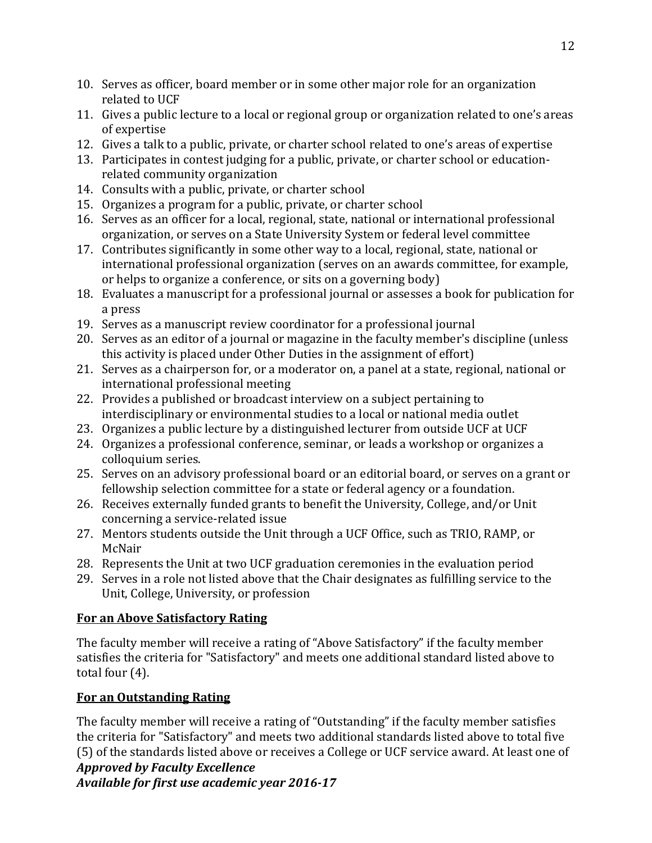- 10. Serves as officer, board member or in some other major role for an organization related to UCF
- 11. Gives a public lecture to a local or regional group or organization related to one's areas of expertise
- 12. Gives a talk to a public, private, or charter school related to one's areas of expertise
- 13. Participates in contest judging for a public, private, or charter school or educationrelated community organization
- 14. Consults with a public, private, or charter school
- 15. Organizes a program for a public, private, or charter school
- 16. Serves as an officer for a local, regional, state, national or international professional organization, or serves on a State University System or federal level committee
- 17. Contributes significantly in some other way to a local, regional, state, national or international professional organization (serves on an awards committee, for example, or helps to organize a conference, or sits on a governing body)
- 18. Evaluates a manuscript for a professional journal or assesses a book for publication for a press
- 19. Serves as a manuscript review coordinator for a professional journal
- 20. Serves as an editor of a journal or magazine in the faculty member's discipline (unless this activity is placed under Other Duties in the assignment of effort)
- 21. Serves as a chairperson for, or a moderator on, a panel at a state, regional, national or international professional meeting
- 22. Provides a published or broadcast interview on a subject pertaining to interdisciplinary or environmental studies to a local or national media outlet
- 23. Organizes a public lecture by a distinguished lecturer from outside UCF at UCF
- 24. Organizes a professional conference, seminar, or leads a workshop or organizes a colloquium series.
- 25. Serves on an advisory professional board or an editorial board, or serves on a grant or fellowship selection committee for a state or federal agency or a foundation.
- 26. Receives externally funded grants to benefit the University, College, and/or Unit concerning a service-related issue
- 27. Mentors students outside the Unit through a UCF Office, such as TRIO, RAMP, or McNair
- 28. Represents the Unit at two UCF graduation ceremonies in the evaluation period
- 29. Serves in a role not listed above that the Chair designates as fulfilling service to the Unit, College, University, or profession

# **For an Above Satisfactory Rating**

The faculty member will receive a rating of "Above Satisfactory" if the faculty member satisfies the criteria for "Satisfactory" and meets one additional standard listed above to total four (4).

# **For an Outstanding Rating**

The faculty member will receive a rating of "Outstanding" if the faculty member satisfies the criteria for "Satisfactory" and meets two additional standards listed above to total five (5) of the standards listed above or receives a College or UCF service award. At least one of

# *Approved by Faculty Excellence*

*Available for first use academic year 2016-17*